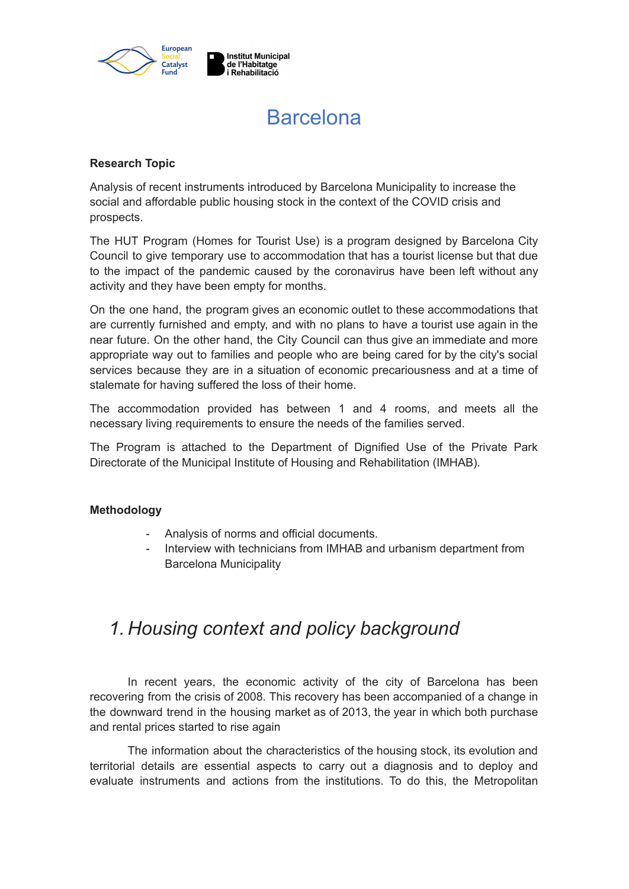

# Barcelona

### **Research Topic**

Analysis of recent instruments introduced by Barcelona Municipality to increase the social and affordable public housing stock in the context of the COVID crisis and prospects.

The HUT Program (Homes for Tourist Use) is a program designed by Barcelona City Council to give temporary use to accommodation that has a tourist license but that due to the impact of the pandemic caused by the coronavirus have been left without any activity and they have been empty for months.

On the one hand, the program gives an economic outlet to these accommodations that are currently furnished and empty, and with no plans to have a tourist use again in the near future. On the other hand, the City Council can thus give an immediate and more appropriate way out to families and people who are being cared for by the city's social services because they are in a situation of economic precariousness and at a time of stalemate for having suffered the loss of their home.

The accommodation provided has between 1 and 4 rooms, and meets all the necessary living requirements to ensure the needs of the families served.

The Program is attached to the Department of Dignified Use of the Private Park Directorate of the Municipal Institute of Housing and Rehabilitation (IMHAB).

## **Methodology**

- Analysis of norms and official documents.
- Interview with technicians from IMHAB and urbanism department from Barcelona Municipality

## *1. Housing context and policy background*

In recent years, the economic activity of the city of Barcelona has been recovering from the crisis of 2008. This recovery has been accompanied of a change in the downward trend in the housing market as of 2013, the year in which both purchase and rental prices started to rise again

The information about the characteristics of the housing stock, its evolution and territorial details are essential aspects to carry out a diagnosis and to deploy and evaluate instruments and actions from the institutions. To do this, the Metropolitan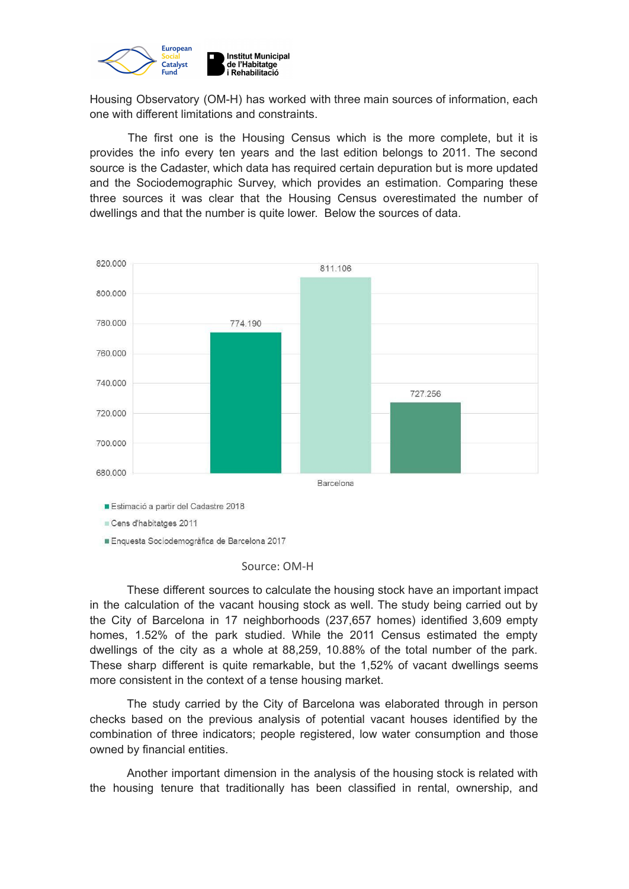

Housing Observatory (OM-H) has worked with three main sources of information, each one with different limitations and constraints.

The first one is the Housing Census which is the more complete, but it is provides the info every ten years and the last edition belongs to 2011. The second source is the Cadaster, which data has required certain depuration but is more updated and the Sociodemographic Survey, which provides an estimation. Comparing these three sources it was clear that the Housing Census overestimated the number of dwellings and that the number is quite lower. Below the sources of data.



Enquesta Sociodemogràfica de Barcelona 2017

#### Source: OM-H

These different sources to calculate the housing stock have an important impact in the calculation of the vacant housing stock as well. The study being carried out by the City of Barcelona in 17 neighborhoods (237,657 homes) identified 3,609 empty homes, 1.52% of the park studied. While the 2011 Census estimated the empty dwellings of the city as a whole at 88,259, 10.88% of the total number of the park. These sharp different is quite remarkable, but the 1,52% of vacant dwellings seems more consistent in the context of a tense housing market.

The study carried by the City of Barcelona was elaborated through in person checks based on the previous analysis of potential vacant houses identified by the combination of three indicators; people registered, low water consumption and those owned by financial entities.

Another important dimension in the analysis of the housing stock is related with the housing tenure that traditionally has been classified in rental, ownership, and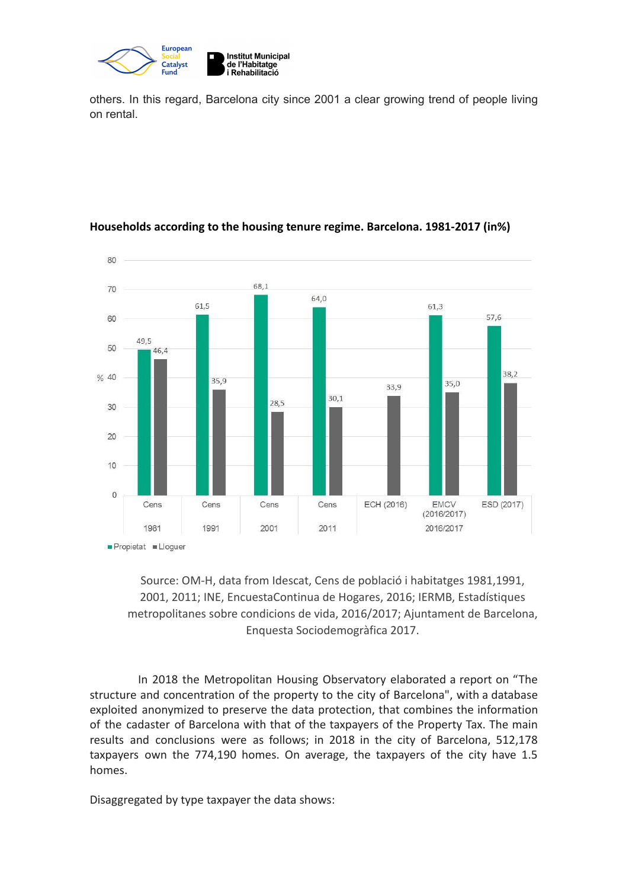

others. In this regard, Barcelona city since 2001 a clear growing trend of people living on rental.



## **Households according to the housing tenure regime. Barcelona. 1981-2017 (in%)**

Source: OM-H, data from Idescat, Cens de població i habitatges 1981,1991, 2001, 2011; INE, EncuestaContinua de Hogares, 2016; IERMB, Estadístiques metropolitanes sobre condicions de vida, 2016/2017; Ajuntament de Barcelona, Enquesta Sociodemogràfica 2017.

In 2018 the Metropolitan Housing Observatory elaborated a report on "The structure and concentration of the property to the city of Barcelona", with a database exploited anonymized to preserve the data protection, that combines the information of the cadaster of Barcelona with that of the taxpayers of the Property Tax. The main results and conclusions were as follows; in 2018 in the city of Barcelona, 512,178 taxpayers own the 774,190 homes. On average, the taxpayers of the city have 1.5 homes.

Disaggregated by type taxpayer the data shows: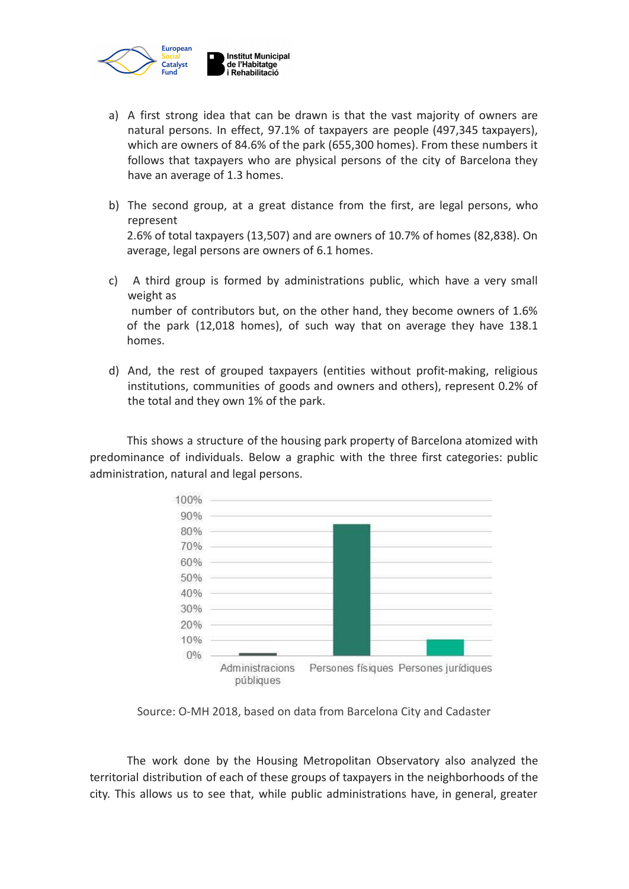

- a) A first strong idea that can be drawn is that the vast majority of owners are natural persons. In effect, 97.1% of taxpayers are people (497,345 taxpayers), which are owners of 84.6% of the park (655,300 homes). From these numbers it follows that taxpayers who are physical persons of the city of Barcelona they have an average of 1.3 homes.
- b) The second group, at a great distance from the first, are legal persons, who represent 2.6% of total taxpayers (13,507) and are owners of 10.7% of homes (82,838). On average, legal persons are owners of 6.1 homes.
- c) A third group is formed by administrations public, which have a very small weight as number of contributors but, on the other hand, they become owners of 1.6% of the park (12,018 homes), of such way that on average they have 138.1 homes.
- d) And, the rest of grouped taxpayers (entities without profit-making, religious institutions, communities of goods and owners and others), represent 0.2% of the total and they own 1% of the park.

This shows a structure of the housing park property of Barcelona atomized with predominance of individuals. Below a graphic with the three first categories: public administration, natural and legal persons.



Source: O-MH 2018, based on data from Barcelona City and Cadaster

The work done by the Housing Metropolitan Observatory also analyzed the territorial distribution of each of these groups of taxpayers in the neighborhoods of the city. This allows us to see that, while public administrations have, in general, greater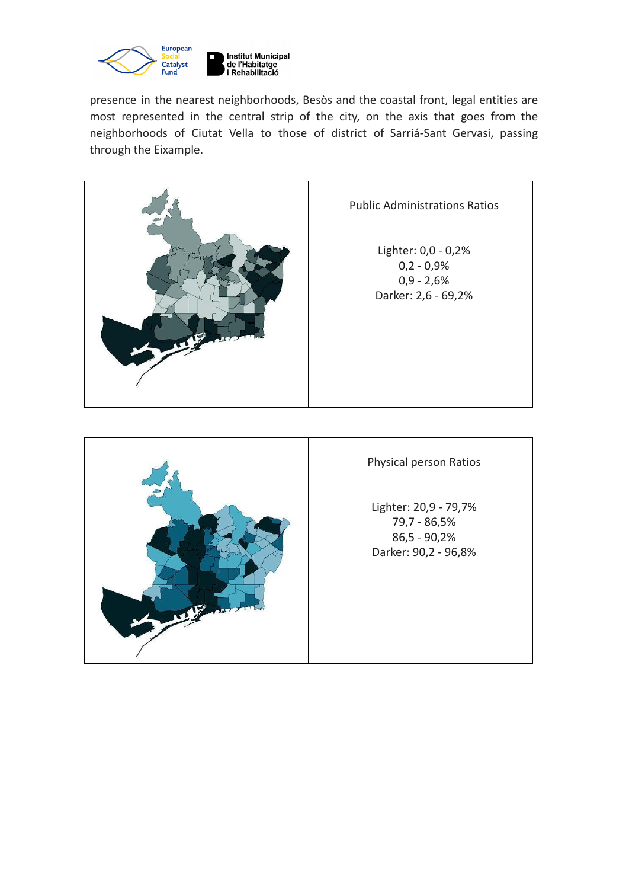

presence in the nearest neighborhoods, Besòs and the coastal front, legal entities are most represented in the central strip of the city, on the axis that goes from the neighborhoods of Ciutat Vella to those of district of Sarriá-Sant Gervasi, passing through the Eixample.



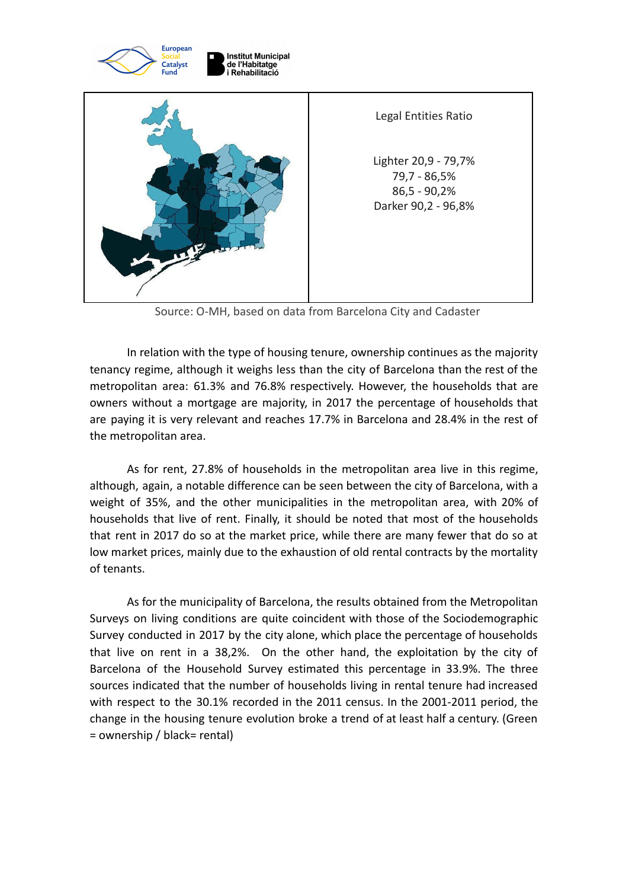

Source: O-MH, based on data from Barcelona City and Cadaster

In relation with the type of housing tenure, ownership continues as the majority tenancy regime, although it weighs less than the city of Barcelona than the rest of the metropolitan area: 61.3% and 76.8% respectively. However, the households that are owners without a mortgage are majority, in 2017 the percentage of households that are paying it is very relevant and reaches 17.7% in Barcelona and 28.4% in the rest of the metropolitan area.

As for rent, 27.8% of households in the metropolitan area live in this regime, although, again, a notable difference can be seen between the city of Barcelona, with a weight of 35%, and the other municipalities in the metropolitan area, with 20% of households that live of rent. Finally, it should be noted that most of the households that rent in 2017 do so at the market price, while there are many fewer that do so at low market prices, mainly due to the exhaustion of old rental contracts by the mortality of tenants.

As for the municipality of Barcelona, the results obtained from the Metropolitan Surveys on living conditions are quite coincident with those of the Sociodemographic Survey conducted in 2017 by the city alone, which place the percentage of households that live on rent in a 38,2%. On the other hand, the exploitation by the city of Barcelona of the Household Survey estimated this percentage in 33.9%. The three sources indicated that the number of households living in rental tenure had increased with respect to the 30.1% recorded in the 2011 census. In the 2001-2011 period, the change in the housing tenure evolution broke a trend of at least half a century. (Green = ownership / black= rental)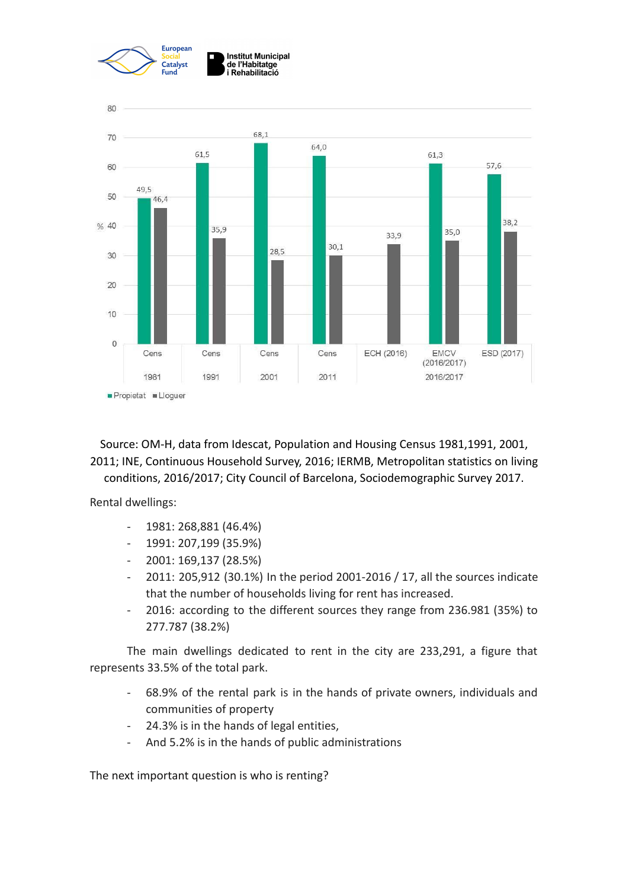

Source: OM-H, data from Idescat, Population and Housing Census 1981,1991, 2001, 2011; INE, Continuous Household Survey, 2016; IERMB, Metropolitan statistics on living conditions, 2016/2017; City Council of Barcelona, Sociodemographic Survey 2017.

Rental dwellings:

- 1981: 268,881 (46.4%)
- 1991: 207,199 (35.9%)
- 2001: 169,137 (28.5%)
- 2011: 205,912 (30.1%) In the period 2001-2016 / 17, all the sources indicate that the number of households living for rent has increased.
- 2016: according to the different sources they range from 236.981 (35%) to 277.787 (38.2%)

The main dwellings dedicated to rent in the city are 233,291, a figure that represents 33.5% of the total park.

- 68.9% of the rental park is in the hands of private owners, individuals and communities of property
- 24.3% is in the hands of legal entities,
- And 5.2% is in the hands of public administrations

The next important question is who is renting?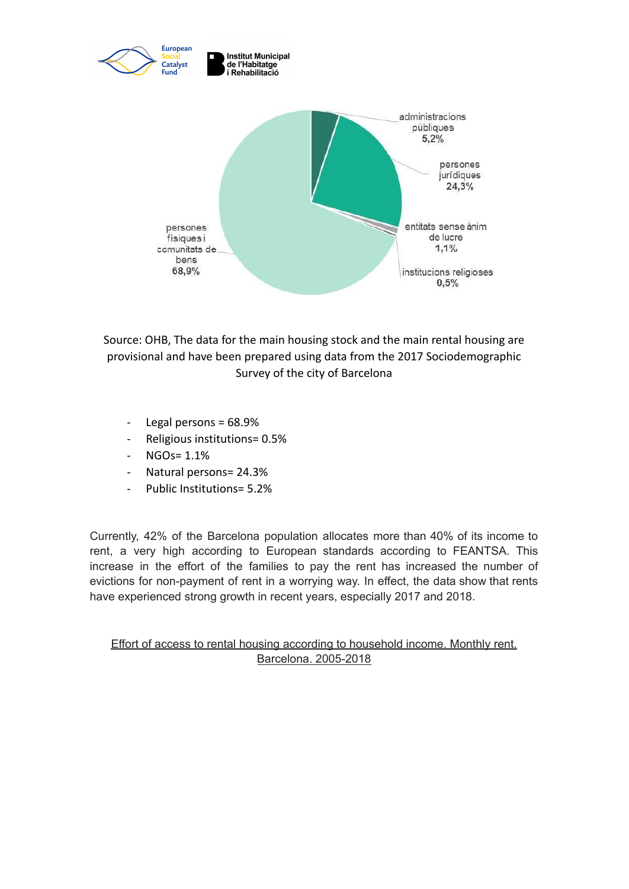

Source: OHB, The data for the main housing stock and the main rental housing are provisional and have been prepared using data from the 2017 Sociodemographic Survey of the city of Barcelona

- Legal persons = 68.9%
- Religious institutions= 0.5%
- NGOs= 1.1%
- Natural persons= 24.3%
- Public Institutions= 5.2%

Currently, 42% of the Barcelona population allocates more than 40% of its income to rent, a very high according to European standards according to FEANTSA. This increase in the effort of the families to pay the rent has increased the number of evictions for non-payment of rent in a worrying way. In effect, the data show that rents have experienced strong growth in recent years, especially 2017 and 2018.

Effort of access to rental housing according to household income. Monthly rent. Barcelona. 2005-2018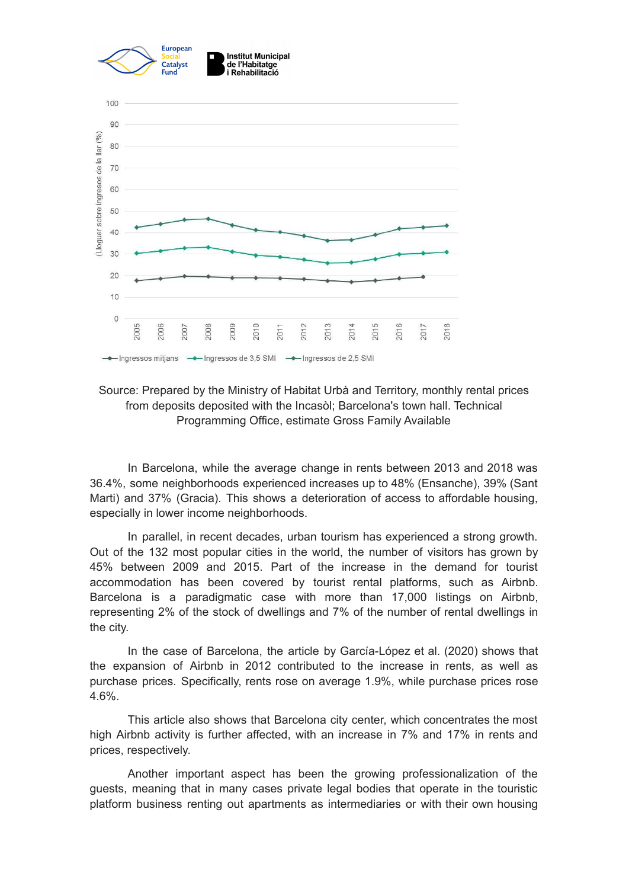

Source: Prepared by the Ministry of Habitat Urbà and Territory, monthly rental prices from deposits deposited with the Incasòl; Barcelona's town hall. Technical Programming Office, estimate Gross Family Available

In Barcelona, while the average change in rents between 2013 and 2018 was 36.4%, some neighborhoods experienced increases up to 48% (Ensanche), 39% (Sant Marti) and 37% (Gracia). This shows a deterioration of access to affordable housing, especially in lower income neighborhoods.

In parallel, in recent decades, urban tourism has experienced a strong growth. Out of the 132 most popular cities in the world, the number of visitors has grown by 45% between 2009 and 2015. Part of the increase in the demand for tourist accommodation has been covered by tourist rental platforms, such as Airbnb. Barcelona is a paradigmatic case with more than 17,000 listings on Airbnb, representing 2% of the stock of dwellings and 7% of the number of rental dwellings in the city.

In the case of Barcelona, the article by García-López et al. (2020) shows that the expansion of Airbnb in 2012 contributed to the increase in rents, as well as purchase prices. Specifically, rents rose on average 1.9%, while purchase prices rose 4.6%.

This article also shows that Barcelona city center, which concentrates the most high Airbnb activity is further affected, with an increase in 7% and 17% in rents and prices, respectively.

Another important aspect has been the growing professionalization of the guests, meaning that in many cases private legal bodies that operate in the touristic platform business renting out apartments as intermediaries or with their own housing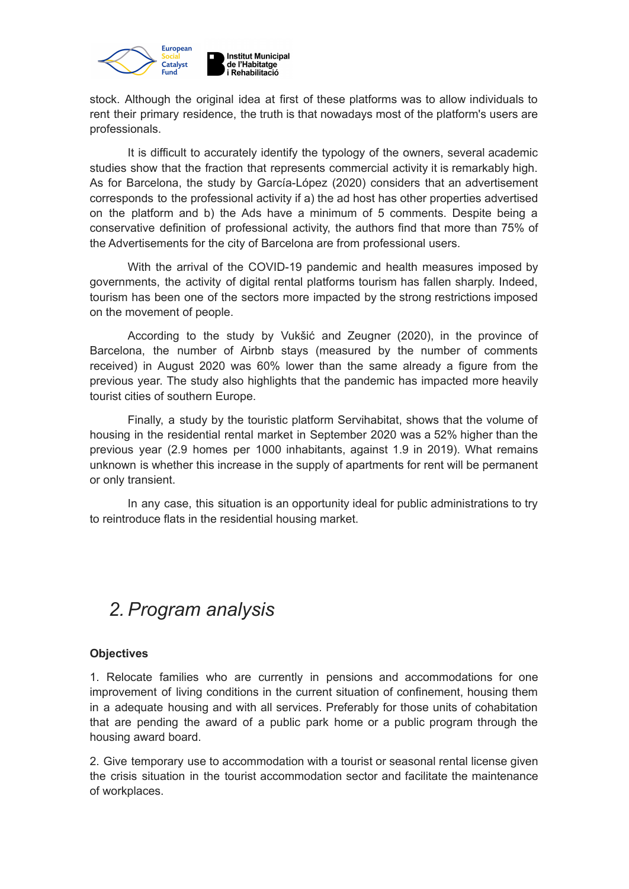

stock. Although the original idea at first of these platforms was to allow individuals to rent their primary residence, the truth is that nowadays most of the platform's users are professionals.

It is difficult to accurately identify the typology of the owners, several academic studies show that the fraction that represents commercial activity it is remarkably high. As for Barcelona, the study by García-López (2020) considers that an advertisement corresponds to the professional activity if a) the ad host has other properties advertised on the platform and b) the Ads have a minimum of 5 comments. Despite being a conservative definition of professional activity, the authors find that more than 75% of the Advertisements for the city of Barcelona are from professional users.

With the arrival of the COVID-19 pandemic and health measures imposed by governments, the activity of digital rental platforms tourism has fallen sharply. Indeed, tourism has been one of the sectors more impacted by the strong restrictions imposed on the movement of people.

According to the study by Vukšić and Zeugner (2020), in the province of Barcelona, the number of Airbnb stays (measured by the number of comments received) in August 2020 was 60% lower than the same already a figure from the previous year. The study also highlights that the pandemic has impacted more heavily tourist cities of southern Europe.

Finally, a study by the touristic platform Servihabitat, shows that the volume of housing in the residential rental market in September 2020 was a 52% higher than the previous year (2.9 homes per 1000 inhabitants, against 1.9 in 2019). What remains unknown is whether this increase in the supply of apartments for rent will be permanent or only transient.

In any case, this situation is an opportunity ideal for public administrations to try to reintroduce flats in the residential housing market.

## *2. Program analysis*

## **Objectives**

1. Relocate families who are currently in pensions and accommodations for one improvement of living conditions in the current situation of confinement, housing them in a adequate housing and with all services. Preferably for those units of cohabitation that are pending the award of a public park home or a public program through the housing award board.

2. Give temporary use to accommodation with a tourist or seasonal rental license given the crisis situation in the tourist accommodation sector and facilitate the maintenance of workplaces.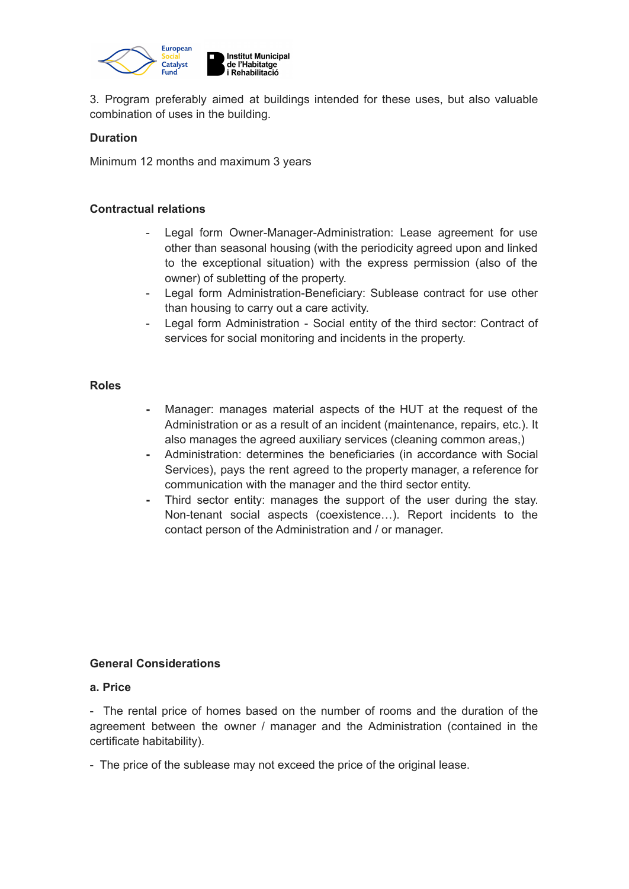

3. Program preferably aimed at buildings intended for these uses, but also valuable combination of uses in the building.

## **Duration**

Minimum 12 months and maximum 3 years

## **Contractual relations**

- Legal form Owner-Manager-Administration: Lease agreement for use other than seasonal housing (with the periodicity agreed upon and linked to the exceptional situation) with the express permission (also of the owner) of subletting of the property.
- Legal form Administration-Beneficiary: Sublease contract for use other than housing to carry out a care activity.
- Legal form Administration Social entity of the third sector: Contract of services for social monitoring and incidents in the property.

## **Roles**

- **-** Manager: manages material aspects of the HUT at the request of the Administration or as a result of an incident (maintenance, repairs, etc.). It also manages the agreed auxiliary services (cleaning common areas,)
- **-** Administration: determines the beneficiaries (in accordance with Social Services), pays the rent agreed to the property manager, a reference for communication with the manager and the third sector entity.
- **-** Third sector entity: manages the support of the user during the stay. Non-tenant social aspects (coexistence…). Report incidents to the contact person of the Administration and / or manager.

## **General Considerations**

## **a. Price**

- The rental price of homes based on the number of rooms and the duration of the agreement between the owner / manager and the Administration (contained in the certificate habitability).

- The price of the sublease may not exceed the price of the original lease.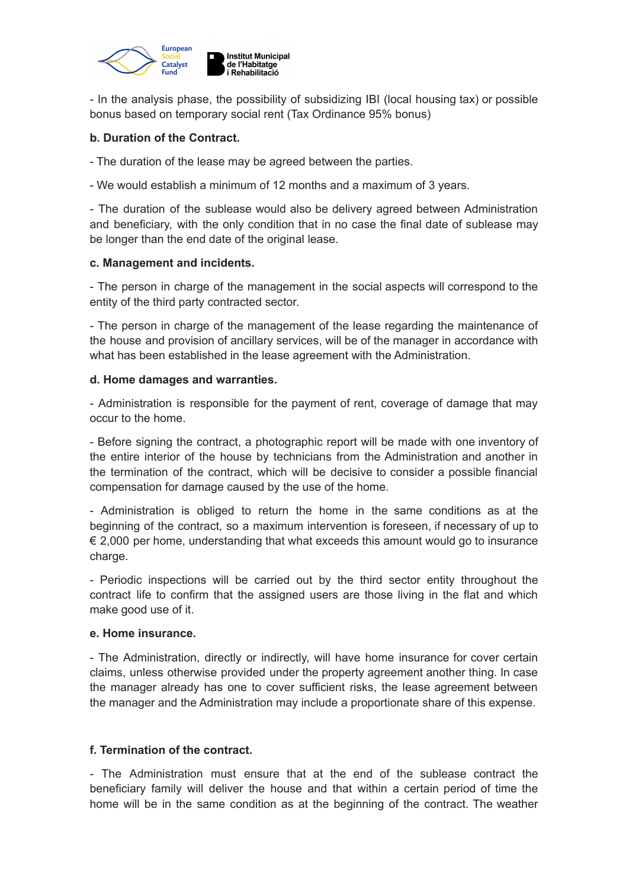

- In the analysis phase, the possibility of subsidizing IBI (local housing tax) or possible bonus based on temporary social rent (Tax Ordinance 95% bonus)

## **b. Duration of the Contract.**

- The duration of the lease may be agreed between the parties.

- We would establish a minimum of 12 months and a maximum of 3 years.

- The duration of the sublease would also be delivery agreed between Administration and beneficiary, with the only condition that in no case the final date of sublease may be longer than the end date of the original lease.

#### **c. Management and incidents.**

- The person in charge of the management in the social aspects will correspond to the entity of the third party contracted sector.

- The person in charge of the management of the lease regarding the maintenance of the house and provision of ancillary services, will be of the manager in accordance with what has been established in the lease agreement with the Administration.

#### **d. Home damages and warranties.**

- Administration is responsible for the payment of rent, coverage of damage that may occur to the home.

- Before signing the contract, a photographic report will be made with one inventory of the entire interior of the house by technicians from the Administration and another in the termination of the contract, which will be decisive to consider a possible financial compensation for damage caused by the use of the home.

- Administration is obliged to return the home in the same conditions as at the beginning of the contract, so a maximum intervention is foreseen, if necessary of up to  $\epsilon$  2,000 per home, understanding that what exceeds this amount would go to insurance charge.

- Periodic inspections will be carried out by the third sector entity throughout the contract life to confirm that the assigned users are those living in the flat and which make good use of it.

#### **e. Home insurance.**

- The Administration, directly or indirectly, will have home insurance for cover certain claims, unless otherwise provided under the property agreement another thing. In case the manager already has one to cover sufficient risks, the lease agreement between the manager and the Administration may include a proportionate share of this expense.

## **f. Termination of the contract.**

- The Administration must ensure that at the end of the sublease contract the beneficiary family will deliver the house and that within a certain period of time the home will be in the same condition as at the beginning of the contract. The weather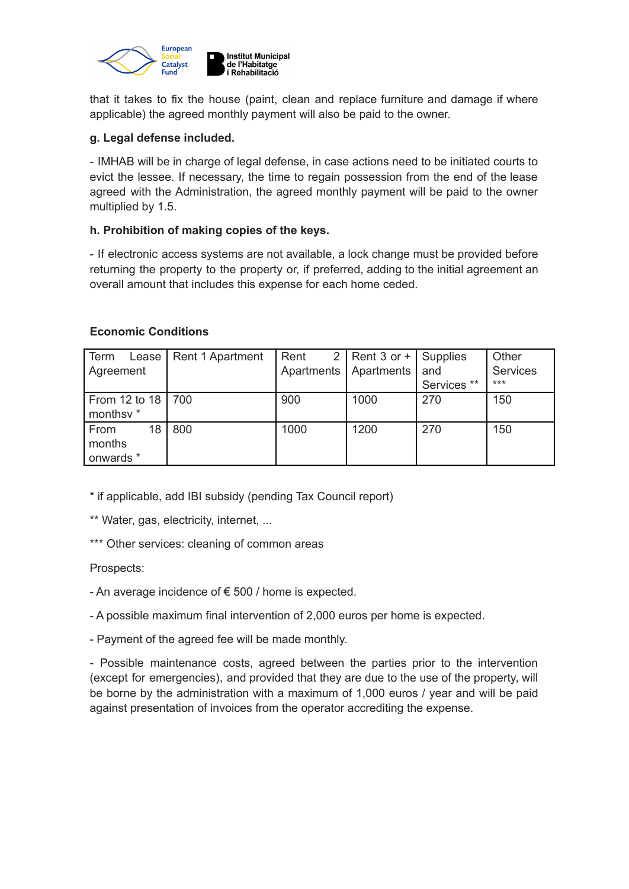

that it takes to fix the house (paint, clean and replace furniture and damage if where applicable) the agreed monthly payment will also be paid to the owner.

## **g. Legal defense included.**

- IMHAB will be in charge of legal defense, in case actions need to be initiated courts to evict the lessee. If necessary, the time to regain possession from the end of the lease agreed with the Administration, the agreed monthly payment will be paid to the owner multiplied by 1.5.

## **h. Prohibition of making copies of the keys.**

- If electronic access systems are not available, a lock change must be provided before returning the property to the property or, if preferred, adding to the initial agreement an overall amount that includes this expense for each home ceded.

## **Economic Conditions**

| Term<br>Agreement                              | Lease   Rent 1 Apartment |      | Rent $2$   Rent 3 or +   Supplies<br>Apartments   Apartments | and<br>Services ** | Other<br><b>Services</b><br>$***$ |
|------------------------------------------------|--------------------------|------|--------------------------------------------------------------|--------------------|-----------------------------------|
| From 12 to 18   700<br>monthsv <sup>*</sup>    |                          | 900  | 1000                                                         | 270                | 150                               |
| From<br>18 <sub>1</sub><br>months<br>onwards * | 800                      | 1000 | 1200                                                         | 270                | 150                               |

\* if applicable, add IBI subsidy (pending Tax Council report)

\*\* Water, gas, electricity, internet, ...

\*\*\* Other services: cleaning of common areas

Prospects:

- An average incidence of  $\epsilon$  500 / home is expected.

- A possible maximum final intervention of 2,000 euros per home is expected.

- Payment of the agreed fee will be made monthly.

- Possible maintenance costs, agreed between the parties prior to the intervention (except for emergencies), and provided that they are due to the use of the property, will be borne by the administration with a maximum of 1,000 euros / year and will be paid against presentation of invoices from the operator accrediting the expense.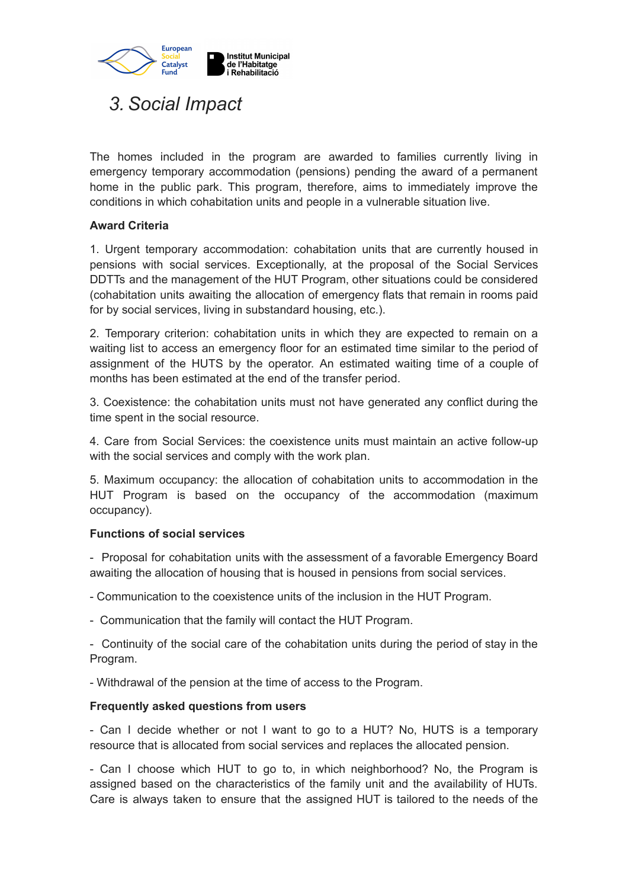

## *3. Social Impact*

The homes included in the program are awarded to families currently living in emergency temporary accommodation (pensions) pending the award of a permanent home in the public park. This program, therefore, aims to immediately improve the conditions in which cohabitation units and people in a vulnerable situation live.

## **Award Criteria**

1. Urgent temporary accommodation: cohabitation units that are currently housed in pensions with social services. Exceptionally, at the proposal of the Social Services DDTTs and the management of the HUT Program, other situations could be considered (cohabitation units awaiting the allocation of emergency flats that remain in rooms paid for by social services, living in substandard housing, etc.).

2. Temporary criterion: cohabitation units in which they are expected to remain on a waiting list to access an emergency floor for an estimated time similar to the period of assignment of the HUTS by the operator. An estimated waiting time of a couple of months has been estimated at the end of the transfer period.

3. Coexistence: the cohabitation units must not have generated any conflict during the time spent in the social resource.

4. Care from Social Services: the coexistence units must maintain an active follow-up with the social services and comply with the work plan.

5. Maximum occupancy: the allocation of cohabitation units to accommodation in the HUT Program is based on the occupancy of the accommodation (maximum occupancy).

## **Functions of social services**

- Proposal for cohabitation units with the assessment of a favorable Emergency Board awaiting the allocation of housing that is housed in pensions from social services.

- Communication to the coexistence units of the inclusion in the HUT Program.

- Communication that the family will contact the HUT Program.

- Continuity of the social care of the cohabitation units during the period of stay in the Program.

- Withdrawal of the pension at the time of access to the Program.

## **Frequently asked questions from users**

- Can I decide whether or not I want to go to a HUT? No, HUTS is a temporary resource that is allocated from social services and replaces the allocated pension.

- Can I choose which HUT to go to, in which neighborhood? No, the Program is assigned based on the characteristics of the family unit and the availability of HUTs. Care is always taken to ensure that the assigned HUT is tailored to the needs of the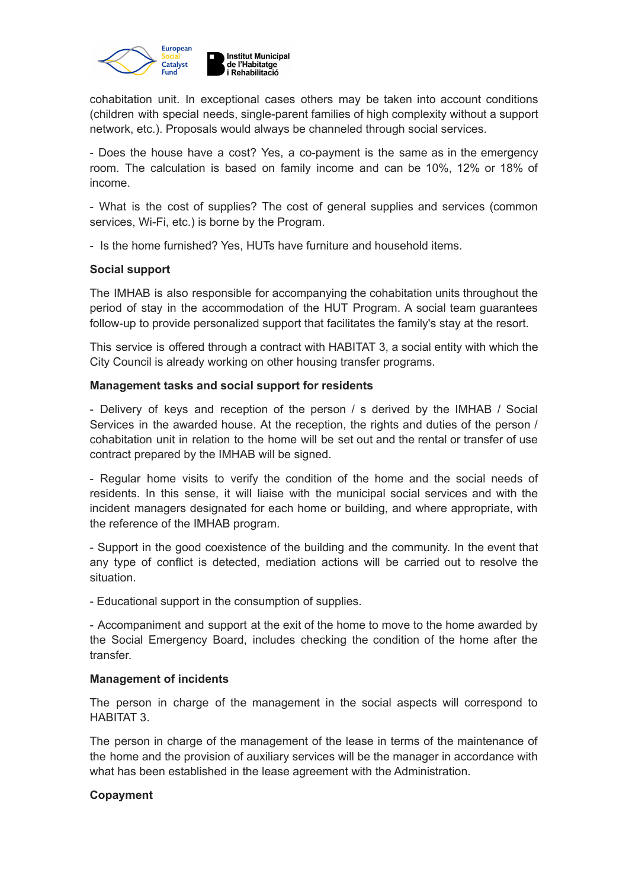

cohabitation unit. In exceptional cases others may be taken into account conditions (children with special needs, single-parent families of high complexity without a support network, etc.). Proposals would always be channeled through social services.

- Does the house have a cost? Yes, a co-payment is the same as in the emergency room. The calculation is based on family income and can be 10%, 12% or 18% of income.

- What is the cost of supplies? The cost of general supplies and services (common services, Wi-Fi, etc.) is borne by the Program.

- Is the home furnished? Yes, HUTs have furniture and household items.

## **Social support**

The IMHAB is also responsible for accompanying the cohabitation units throughout the period of stay in the accommodation of the HUT Program. A social team guarantees follow-up to provide personalized support that facilitates the family's stay at the resort.

This service is offered through a contract with HABITAT 3, a social entity with which the City Council is already working on other housing transfer programs.

#### **Management tasks and social support for residents**

- Delivery of keys and reception of the person / s derived by the IMHAB / Social Services in the awarded house. At the reception, the rights and duties of the person / cohabitation unit in relation to the home will be set out and the rental or transfer of use contract prepared by the IMHAB will be signed.

- Regular home visits to verify the condition of the home and the social needs of residents. In this sense, it will liaise with the municipal social services and with the incident managers designated for each home or building, and where appropriate, with the reference of the IMHAB program.

- Support in the good coexistence of the building and the community. In the event that any type of conflict is detected, mediation actions will be carried out to resolve the situation.

- Educational support in the consumption of supplies.

- Accompaniment and support at the exit of the home to move to the home awarded by the Social Emergency Board, includes checking the condition of the home after the transfer.

#### **Management of incidents**

The person in charge of the management in the social aspects will correspond to HABITAT 3.

The person in charge of the management of the lease in terms of the maintenance of the home and the provision of auxiliary services will be the manager in accordance with what has been established in the lease agreement with the Administration.

## **Copayment**